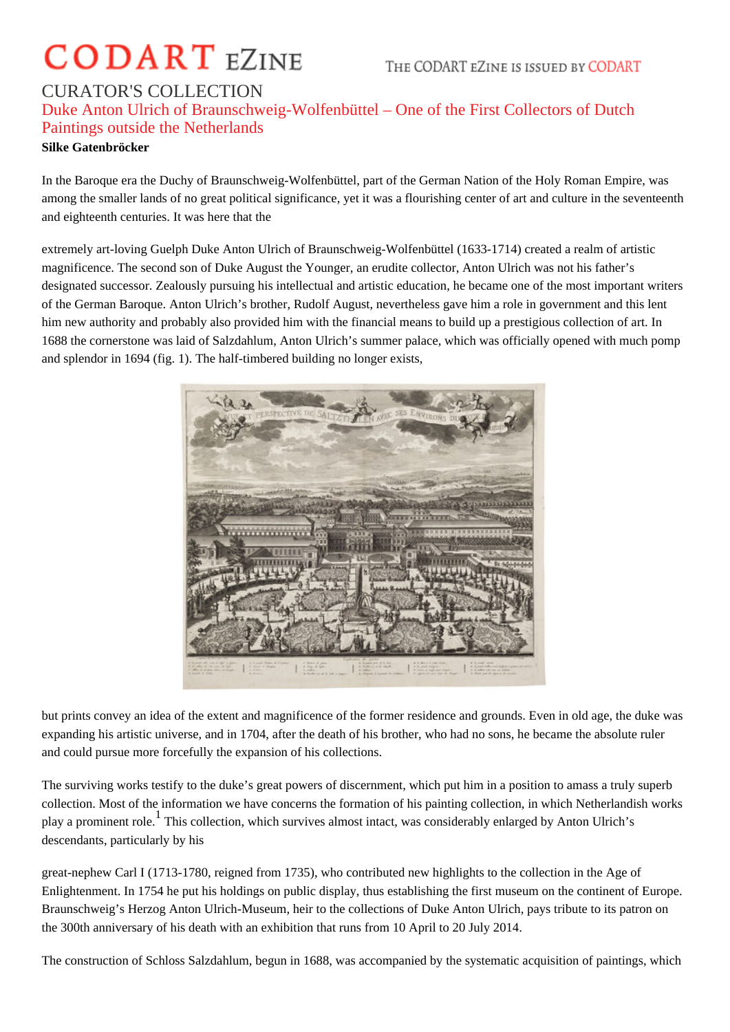## **CODART EZINE**

THE CODART EZINE IS ISSUED BY CODART

## CURATOR'S COLLECTION Duke Anton Ulrich of Braunschweig-Wolfenbüttel – One of the First Collectors of Dutch Paintings outside the Netherlands

## **Silke Gatenbröcker**

In the Baroque era the Duchy of Braunschweig-Wolfenbüttel, part of the German Nation of the Holy Roman Empire, was among the smaller lands of no great political significance, yet it was a flourishing center of art and culture in the seventeenth and eighteenth centuries. It was here that the

extremely art-loving Guelph Duke Anton Ulrich of Braunschweig-Wolfenbüttel (1633-1714) created a realm of artistic magnificence. The second son of Duke August the Younger, an erudite collector, Anton Ulrich was not his father's designated successor. Zealously pursuing his intellectual and artistic education, he became one of the most important writers of the German Baroque. Anton Ulrich's brother, Rudolf August, nevertheless gave him a role in government and this lent him new authority and probably also provided him with the financial means to build up a prestigious collection of art. In 1688 the cornerstone was laid of Salzdahlum, Anton Ulrich's summer palace, which was officially opened with much pomp and splendor in 1694 (fig. 1). The half-timbered building no longer exists,



but prints convey an idea of the extent and magnificence of the former residence and grounds. Even in old age, the duke was expanding his artistic universe, and in 1704, after the death of his brother, who had no sons, he became the absolute ruler and could pursue more forcefully the expansion of his collections.

The surviving works testify to the duke's great powers of discernment, which put him in a position to amass a truly superb collection. Most of the information we have concerns the formation of his painting collection, in which Netherlandish works play a prominent role. <sup>1</sup> This collection, which survives almost intact, was considerably enlarged by Anton Ulrich's descendants, particularly by his

great-nephew Carl I (1713-1780, reigned from 1735), who contributed new highlights to the collection in the Age of Enlightenment. In 1754 he put his holdings on public display, thus establishing the first museum on the continent of Europe. Braunschweig's Herzog Anton Ulrich-Museum, heir to the collections of Duke Anton Ulrich, pays tribute to its patron on the 300th anniversary of his death with an exhibition that runs from 10 April to 20 July 2014.

The construction of Schloss Salzdahlum, begun in 1688, was accompanied by the systematic acquisition of paintings, which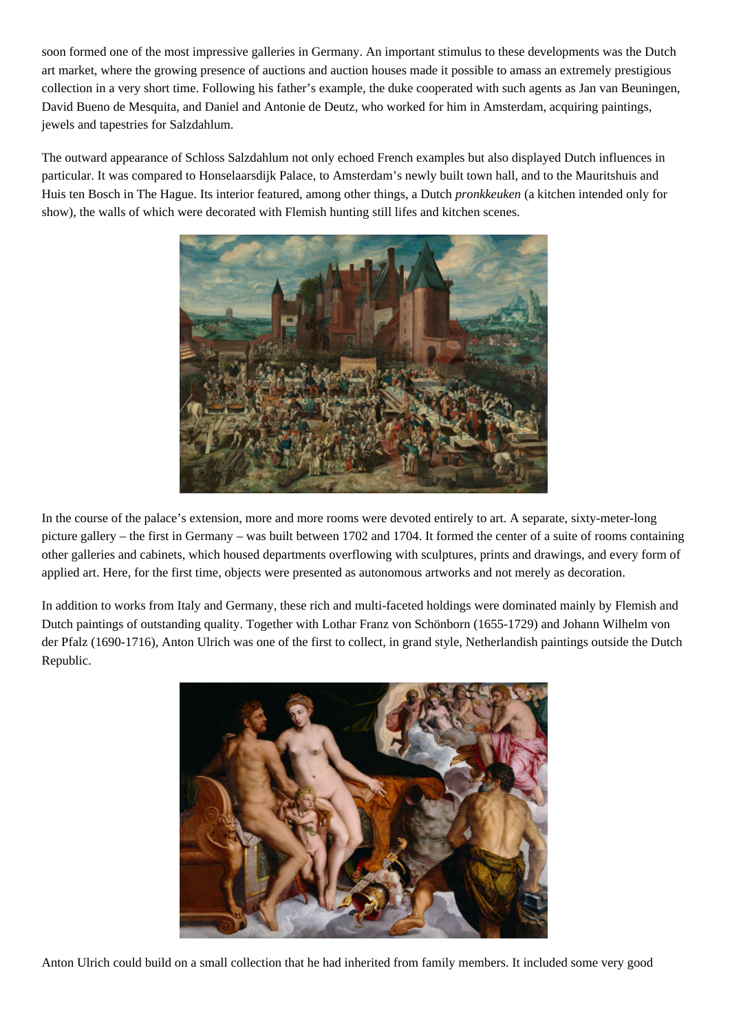soon formed one of the most impressive galleries in Germany. An important stimulus to these developments was the Dutch art market, where the growing presence of auctions and auction houses made it possible to amass an extremely prestigious collection in a very short time. Following his father's example, the duke cooperated with such agents as Jan van Beuningen, David Bueno de Mesquita, and Daniel and Antonie de Deutz, who worked for him in Amsterdam, acquiring paintings, jewels and tapestries for Salzdahlum.

The outward appearance of Schloss Salzdahlum not only echoed French examples but also displayed Dutch influences in particular. It was compared to Honselaarsdijk Palace, to Amsterdam's newly built town hall, and to the Mauritshuis and Huis ten Bosch in The Hague. Its interior featured, among other things, a Dutch *pronkkeuken* (a kitchen intended only for show), the walls of which were decorated with Flemish hunting still lifes and kitchen scenes.



In the course of the palace's extension, more and more rooms were devoted entirely to art. A separate, sixty-meter-long picture gallery – the first in Germany – was built between 1702 and 1704. It formed the center of a suite of rooms containing other galleries and cabinets, which housed departments overflowing with sculptures, prints and drawings, and every form of applied art. Here, for the first time, objects were presented as autonomous artworks and not merely as decoration.

In addition to works from Italy and Germany, these rich and multi-faceted holdings were dominated mainly by Flemish and Dutch paintings of outstanding quality. Together with Lothar Franz von Schönborn (1655-1729) and Johann Wilhelm von der Pfalz (1690-1716), Anton Ulrich was one of the first to collect, in grand style, Netherlandish paintings outside the Dutch Republic.



Anton Ulrich could build on a small collection that he had inherited from family members. It included some very good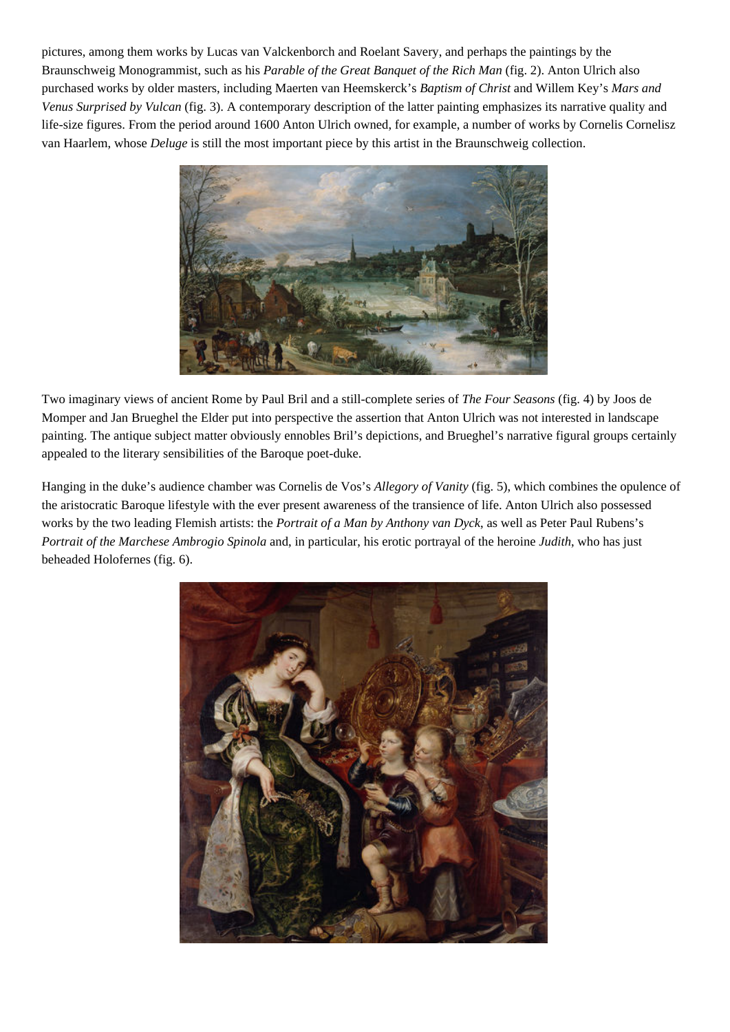pictures, among them works by Lucas van Valckenborch and Roelant Savery, and perhaps the paintings by the Braunschweig Monogrammist, such as his *Parable of the Great Banquet of the Rich Man* (fig. 2). Anton Ulrich also purchased works by older masters, including Maerten van Heemskerck's *Baptism of Christ* and Willem Key's *Mars and Venus Surprised by Vulcan* (fig. 3). A contemporary description of the latter painting emphasizes its narrative quality and life-size figures. From the period around 1600 Anton Ulrich owned, for example, a number of works by Cornelis Cornelisz van Haarlem, whose *Deluge* is still the most important piece by this artist in the Braunschweig collection.



Two imaginary views of ancient Rome by Paul Bril and a still-complete series of *The Four Seasons* (fig. 4) by Joos de Momper and Jan Brueghel the Elder put into perspective the assertion that Anton Ulrich was not interested in landscape painting. The antique subject matter obviously ennobles Bril's depictions, and Brueghel's narrative figural groups certainly appealed to the literary sensibilities of the Baroque poet-duke.

Hanging in the duke's audience chamber was Cornelis de Vos's *Allegory of Vanity* (fig. 5), which combines the opulence of the aristocratic Baroque lifestyle with the ever present awareness of the transience of life. Anton Ulrich also possessed works by the two leading Flemish artists: the *Portrait of a Man by Anthony van Dyck*, as well as Peter Paul Rubens's *Portrait of the Marchese Ambrogio Spinola* and, in particular, his erotic portrayal of the heroine *Judith*, who has just beheaded Holofernes (fig. 6).

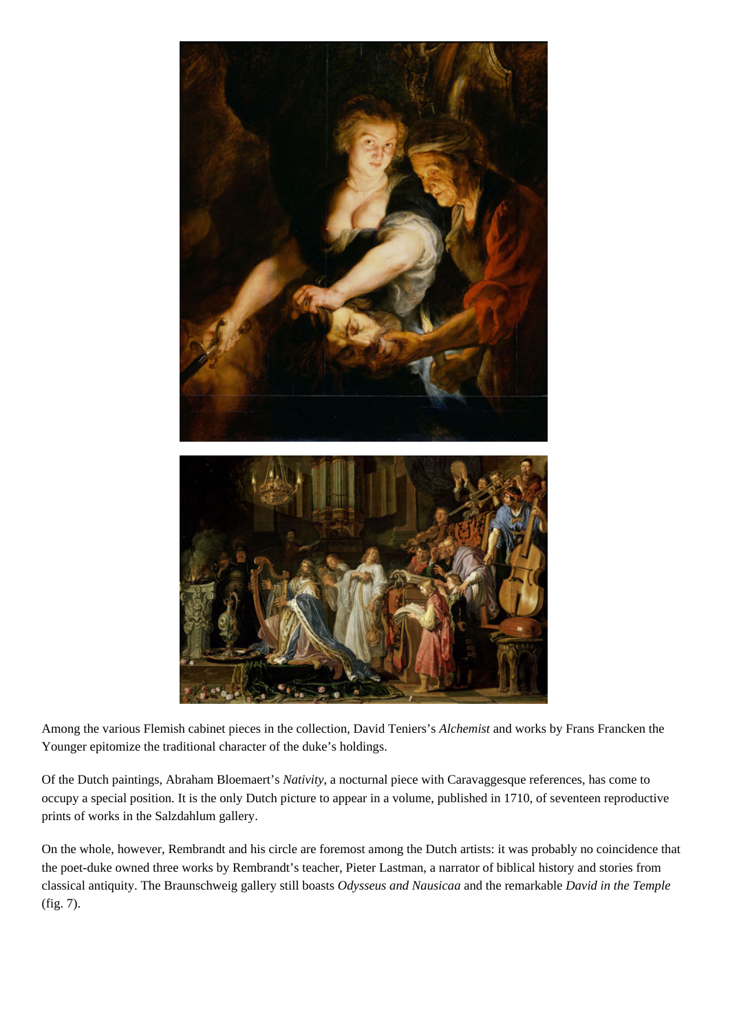

Among the various Flemish cabinet pieces in the collection, David Teniers's *Alchemist* and works by Frans Francken the Younger epitomize the traditional character of the duke's holdings.

Of the Dutch paintings, Abraham Bloemaert's *Nativity*, a nocturnal piece with Caravaggesque references, has come to occupy a special position. It is the only Dutch picture to appear in a volume, published in 1710, of seventeen reproductive prints of works in the Salzdahlum gallery.

On the whole, however, Rembrandt and his circle are foremost among the Dutch artists: it was probably no coincidence that the poet-duke owned three works by Rembrandt's teacher, Pieter Lastman, a narrator of biblical history and stories from classical antiquity. The Braunschweig gallery still boasts *Odysseus and Nausicaa* and the remarkable *David in the Temple* (fig. 7).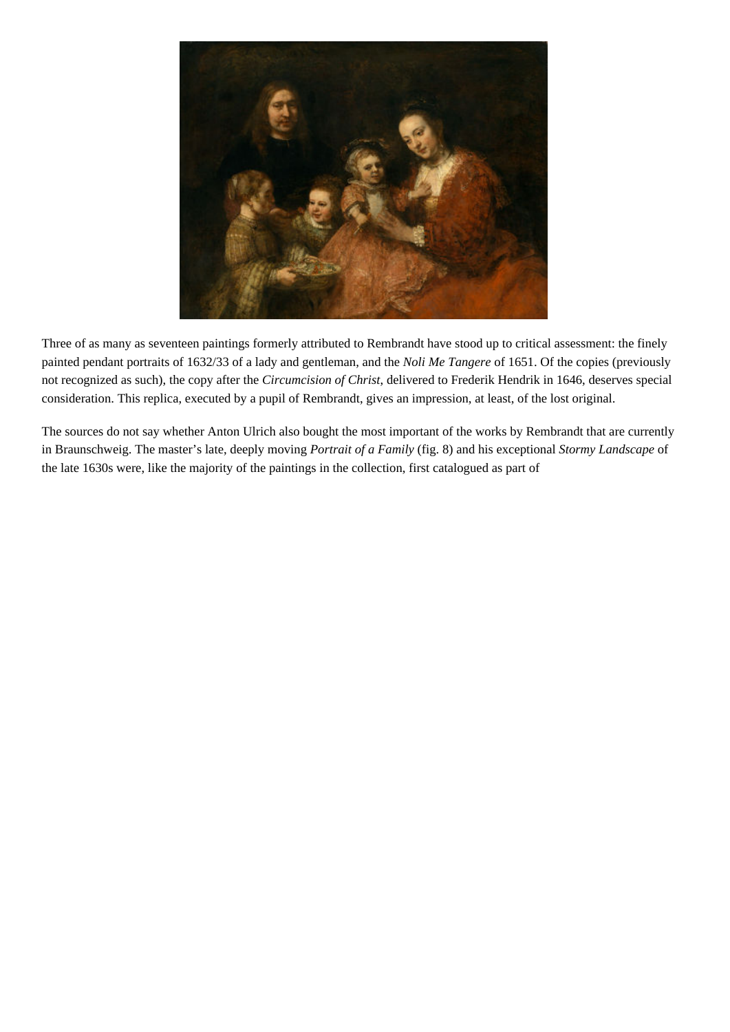

Three of as many as seventeen paintings formerly attributed to Rembrandt have stood up to critical assessment: the finely painted pendant portraits of 1632/33 of a lady and gentleman, and the *Noli Me Tangere* of 1651. Of the copies (previously not recognized as such), the copy after the *Circumcision of Christ*, delivered to Frederik Hendrik in 1646, deserves special consideration. This replica, executed by a pupil of Rembrandt, gives an impression, at least, of the lost original.

The sources do not say whether Anton Ulrich also bought the most important of the works by Rembrandt that are currently in Braunschweig. The master's late, deeply moving *Portrait of a Family* (fig. 8) and his exceptional *Stormy Landscape* of the late 1630s were, like the majority of the paintings in the collection, first catalogued as part of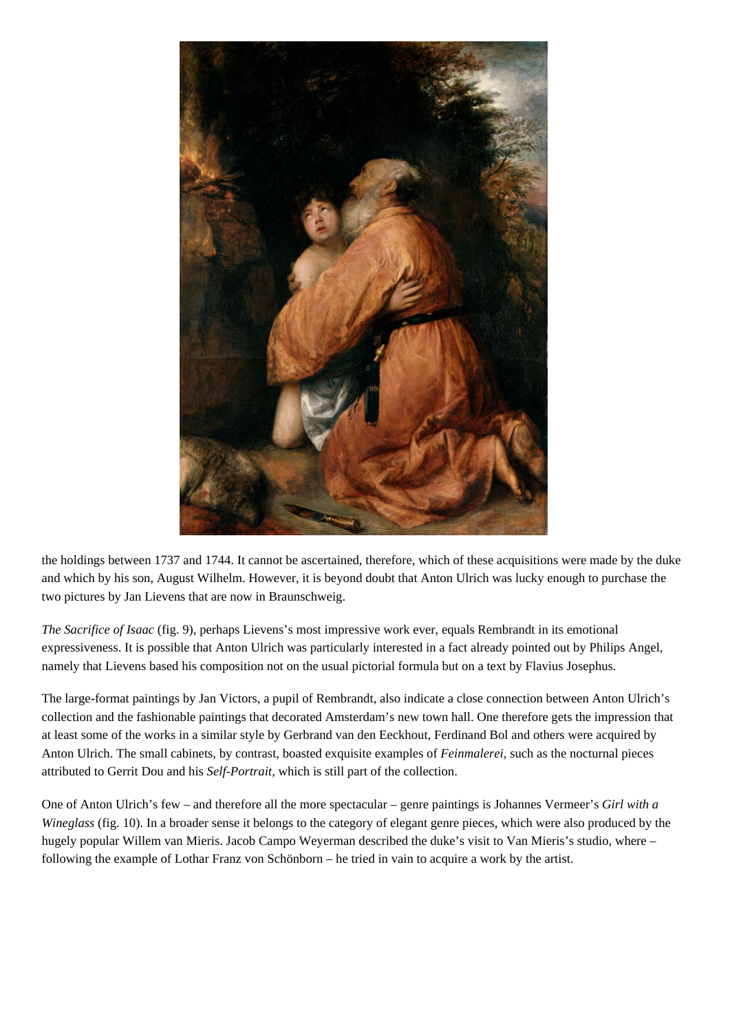

the holdings between 1737 and 1744. It cannot be ascertained, therefore, which of these acquisitions were made by the duke and which by his son, August Wilhelm. However, it is beyond doubt that Anton Ulrich was lucky enough to purchase the two pictures by Jan Lievens that are now in Braunschweig.

*The Sacrifice of Isaac* (fig. 9), perhaps Lievens's most impressive work ever, equals Rembrandt in its emotional expressiveness. It is possible that Anton Ulrich was particularly interested in a fact already pointed out by Philips Angel, namely that Lievens based his composition not on the usual pictorial formula but on a text by Flavius Josephus.

The large-format paintings by Jan Victors, a pupil of Rembrandt, also indicate a close connection between Anton Ulrich's collection and the fashionable paintings that decorated Amsterdam's new town hall. One therefore gets the impression that at least some of the works in a similar style by Gerbrand van den Eeckhout, Ferdinand Bol and others were acquired by Anton Ulrich. The small cabinets, by contrast, boasted exquisite examples of *Feinmalerei*, such as the nocturnal pieces attributed to Gerrit Dou and his *Self-Portrait*, which is still part of the collection.

One of Anton Ulrich's few – and therefore all the more spectacular – genre paintings is Johannes Vermeer's *Girl with a Wineglass* (fig. 10). In a broader sense it belongs to the category of elegant genre pieces, which were also produced by the hugely popular Willem van Mieris. Jacob Campo Weyerman described the duke's visit to Van Mieris's studio, where – following the example of Lothar Franz von Schönborn – he tried in vain to acquire a work by the artist.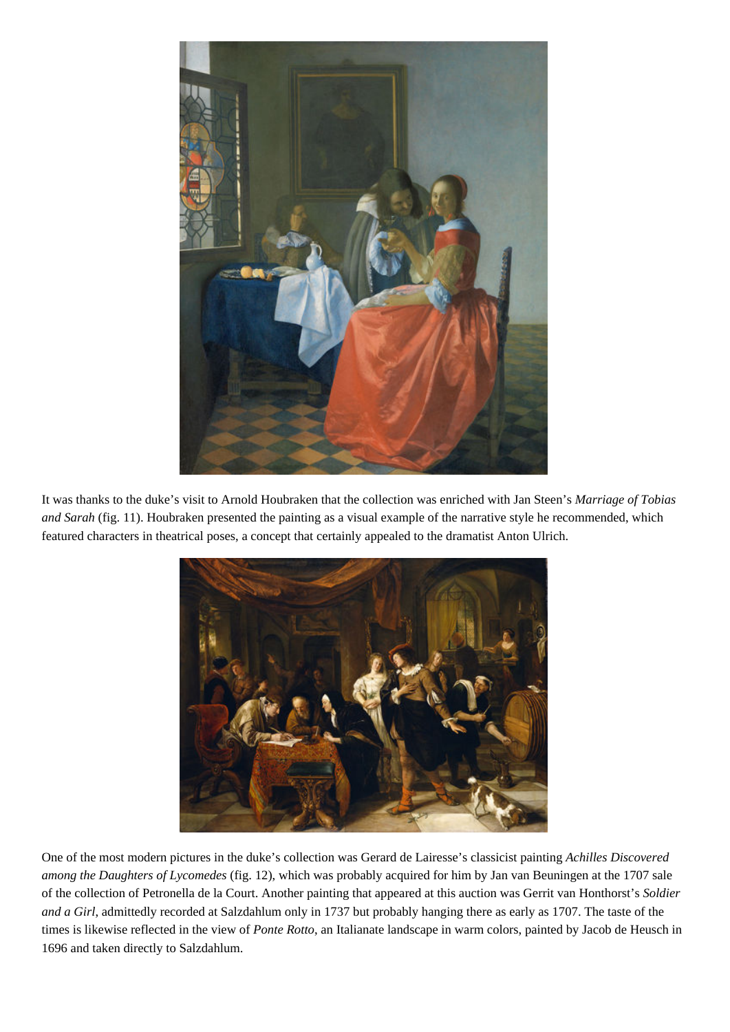

It was thanks to the duke's visit to Arnold Houbraken that the collection was enriched with Jan Steen's *Marriage of Tobias and Sarah* (fig. 11). Houbraken presented the painting as a visual example of the narrative style he recommended, which featured characters in theatrical poses, a concept that certainly appealed to the dramatist Anton Ulrich.



One of the most modern pictures in the duke's collection was Gerard de Lairesse's classicist painting *Achilles Discovered among the Daughters of Lycomedes* (fig. 12), which was probably acquired for him by Jan van Beuningen at the 1707 sale of the collection of Petronella de la Court. Another painting that appeared at this auction was Gerrit van Honthorst's *Soldier and a Girl*, admittedly recorded at Salzdahlum only in 1737 but probably hanging there as early as 1707. The taste of the times is likewise reflected in the view of *Ponte Rotto*, an Italianate landscape in warm colors, painted by Jacob de Heusch in 1696 and taken directly to Salzdahlum.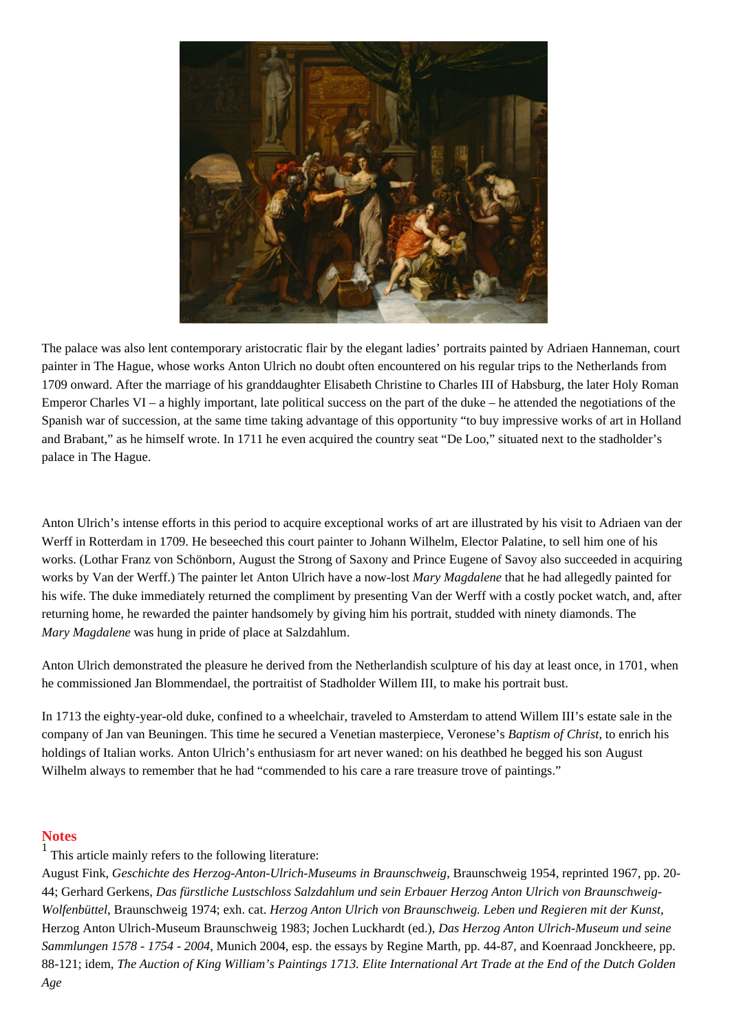

The palace was also lent contemporary aristocratic flair by the elegant ladies' portraits painted by Adriaen Hanneman, court painter in The Hague, whose works Anton Ulrich no doubt often encountered on his regular trips to the Netherlands from 1709 onward. After the marriage of his granddaughter Elisabeth Christine to Charles III of Habsburg, the later Holy Roman Emperor Charles VI – a highly important, late political success on the part of the duke – he attended the negotiations of the Spanish war of succession, at the same time taking advantage of this opportunity "to buy impressive works of art in Holland and Brabant," as he himself wrote. In 1711 he even acquired the country seat "De Loo," situated next to the stadholder's palace in The Hague.

Anton Ulrich's intense efforts in this period to acquire exceptional works of art are illustrated by his visit to Adriaen van der Werff in Rotterdam in 1709. He beseeched this court painter to Johann Wilhelm, Elector Palatine, to sell him one of his works. (Lothar Franz von Schönborn, August the Strong of Saxony and Prince Eugene of Savoy also succeeded in acquiring works by Van der Werff.) The painter let Anton Ulrich have a now-lost *Mary Magdalene* that he had allegedly painted for his wife. The duke immediately returned the compliment by presenting Van der Werff with a costly pocket watch, and, after returning home, he rewarded the painter handsomely by giving him his portrait, studded with ninety diamonds. The *Mary Magdalene* was hung in pride of place at Salzdahlum.

Anton Ulrich demonstrated the pleasure he derived from the Netherlandish sculpture of his day at least once, in 1701, when he commissioned Jan Blommendael, the portraitist of Stadholder Willem III, to make his portrait bust.

In 1713 the eighty-year-old duke, confined to a wheelchair, traveled to Amsterdam to attend Willem III's estate sale in the company of Jan van Beuningen. This time he secured a Venetian masterpiece, Veronese's *Baptism of Christ*, to enrich his holdings of Italian works. Anton Ulrich's enthusiasm for art never waned: on his deathbed he begged his son August Wilhelm always to remember that he had "commended to his care a rare treasure trove of paintings."

## **Notes**

1 This article mainly refers to the following literature:

August Fink, *Geschichte des Herzog-Anton-Ulrich-Museums in Braunschweig*, Braunschweig 1954, reprinted 1967, pp. 20- 44; Gerhard Gerkens, *Das fürstliche Lustschloss Salzdahlum und sein Erbauer Herzog Anton Ulrich von Braunschweig-Wolfenbüttel*, Braunschweig 1974; exh. cat. *Herzog Anton Ulrich von Braunschweig. Leben und Regieren mit der Kunst*, Herzog Anton Ulrich-Museum Braunschweig 1983; Jochen Luckhardt (ed.), *Das Herzog Anton Ulrich-Museum und seine Sammlungen 1578 - 1754 - 2004*, Munich 2004, esp. the essays by Regine Marth, pp. 44-87, and Koenraad Jonckheere, pp. 88-121; idem, *The Auction of King William's Paintings 1713. Elite International Art Trade at the End of the Dutch Golden Age*